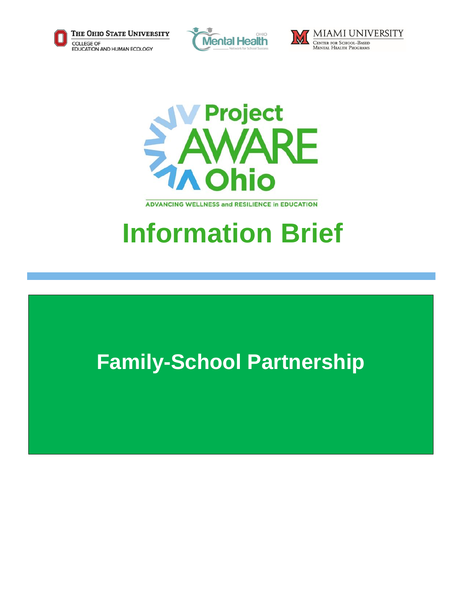







**ADVANCING WELLNESS and RESILIENCE In EDUCATION** 

# **Information Brief**

## **Family-School Partnership**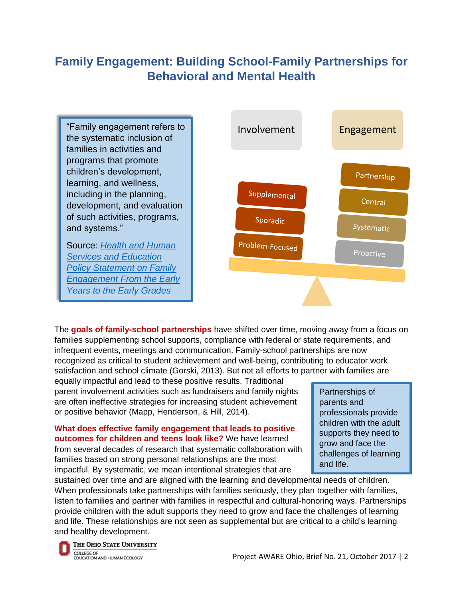### **Family Engagement: Building School-Family Partnerships for Behavioral and Mental Health**

"Family engagement refers to the systematic inclusion of families in activities and programs that promote children's development, learning, and wellness, including in the planning, development, and evaluation of such activities, programs, and systems."

Source: *[Health and Human](https://www2.ed.gov/about/inits/ed/earlylearning/files/policy-statement-on-family-engagement.pdf)  [Services and Education](https://www2.ed.gov/about/inits/ed/earlylearning/files/policy-statement-on-family-engagement.pdf) [Policy Statement on Family](https://www2.ed.gov/about/inits/ed/earlylearning/files/policy-statement-on-family-engagement.pdf)  [Engagement From the Early](https://www2.ed.gov/about/inits/ed/earlylearning/files/policy-statement-on-family-engagement.pdf)  [Years to the Early Grades](https://www2.ed.gov/about/inits/ed/earlylearning/files/policy-statement-on-family-engagement.pdf)*



The **goals of family-school partnerships** have shifted over time, moving away from a focus on families supplementing school supports, compliance with federal or state requirements, and infrequent events, meetings and communication. Family-school partnerships are now recognized as critical to student achievement and well-being, contributing to educator work satisfaction and school climate (Gorski, 2013). But not all efforts to partner with families are

equally impactful and lead to these positive results. Traditional parent involvement activities such as fundraisers and family nights are often ineffective strategies for increasing student achievement or positive behavior (Mapp, Henderson, & Hill, 2014).

**What does effective family engagement that leads to positive outcomes for children and teens look like?** We have learned from several decades of research that systematic collaboration with families based on strong personal relationships are the most impactful. By systematic, we mean intentional strategies that are

Partnerships of parents and professionals provide children with the adult supports they need to grow and face the challenges of learning and life.

sustained over time and are aligned with the learning and developmental needs of children. When professionals take partnerships with families seriously, they plan together with families, listen to families and partner with families in respectful and cultural-honoring ways. Partnerships provide children with the adult supports they need to grow and face the challenges of learning and life. These relationships are not seen as supplemental but are critical to a child's learning and healthy development.

THE OHIO STATE UNIVERSITY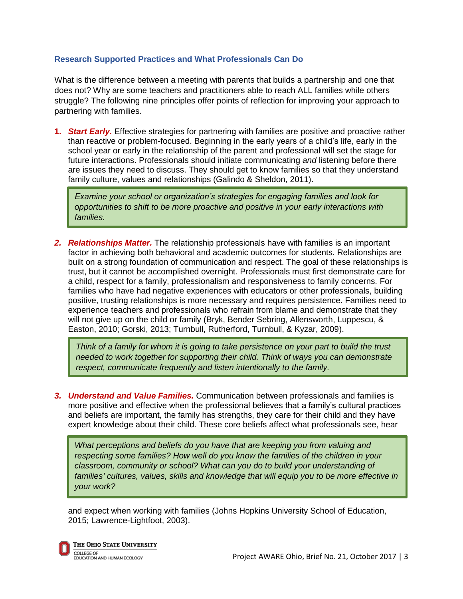#### **Research Supported Practices and What Professionals Can Do**

What is the difference between a meeting with parents that builds a partnership and one that does not? Why are some teachers and practitioners able to reach ALL families while others struggle? The following nine principles offer points of reflection for improving your approach to partnering with families.

**1.** *Start Early.* Effective strategies for partnering with families are positive and proactive rather than reactive or problem-focused. Beginning in the early years of a child's life, early in the school year or early in the relationship of the parent and professional will set the stage for future interactions. Professionals should initiate communicating *and* listening before there are issues they need to discuss. They should get to know families so that they understand family culture, values and relationships (Galindo & Sheldon, 2011).

*Examine your school or organization's strategies for engaging families and look for opportunities to shift to be more proactive and positive in your early interactions with families.*

*2. Relationships Matter.* The relationship professionals have with families is an important factor in achieving both behavioral and academic outcomes for students. Relationships are built on a strong foundation of communication and respect. The goal of these relationships is trust, but it cannot be accomplished overnight. Professionals must first demonstrate care for a child, respect for a family, professionalism and responsiveness to family concerns. For families who have had negative experiences with educators or other professionals, building positive, trusting relationships is more necessary and requires persistence. Families need to experience teachers and professionals who refrain from blame and demonstrate that they will not give up on the child or family (Bryk, Bender Sebring, Allensworth, Luppescu, & Easton, 2010; Gorski, 2013; Turnbull, Rutherford, Turnbull, & Kyzar, 2009).

*Think of a family for whom it is going to take persistence on your part to build the trust needed to work together for supporting their child. Think of ways you can demonstrate respect, communicate frequently and listen intentionally to the family.*

*3. Understand and Value Families.* Communication between professionals and families is more positive and effective when the professional believes that a family's cultural practices and beliefs are important, the family has strengths, they care for their child and they have expert knowledge about their child. These core beliefs affect what professionals see, hear

*What perceptions and beliefs do you have that are keeping you from valuing and respecting some families? How well do you know the families of the children in your classroom, community or school? What can you do to build your understanding of families' cultures, values, skills and knowledge that will equip you to be more effective in your work?*

and expect when working with families (Johns Hopkins University School of Education, 2015; Lawrence-Lightfoot, 2003).

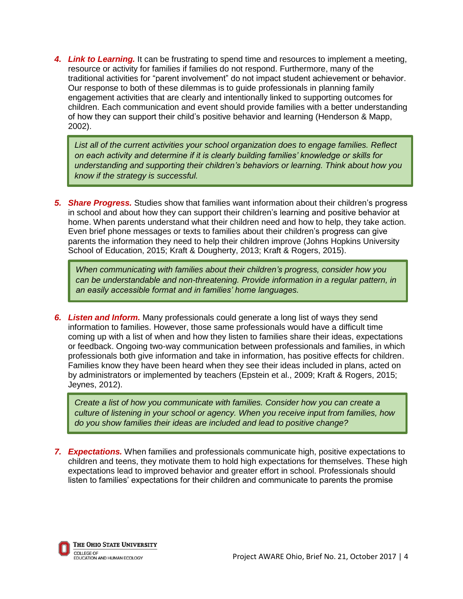*4. Link to Learning.* It can be frustrating to spend time and resources to implement a meeting, resource or activity for families if families do not respond. Furthermore, many of the traditional activities for "parent involvement" do not impact student achievement or behavior. Our response to both of these dilemmas is to guide professionals in planning family engagement activities that are clearly and intentionally linked to supporting outcomes for children. Each communication and event should provide families with a better understanding of how they can support their child's positive behavior and learning (Henderson & Mapp, 2002).

*List all of the current activities your school organization does to engage families. Reflect on each activity and determine if it is clearly building families' knowledge or skills for understanding and supporting their children's behaviors or learning. Think about how you know if the strategy is successful.*

*5. Share Progress.* Studies show that families want information about their children's progress in school and about how they can support their children's learning and positive behavior at home. When parents understand what their children need and how to help, they take action. Even brief phone messages or texts to families about their children's progress can give parents the information they need to help their children improve (Johns Hopkins University School of Education, 2015; Kraft & Dougherty, 2013; Kraft & Rogers, 2015).

*When communicating with families about their children's progress, consider how you can be understandable and non-threatening. Provide information in a regular pattern, in an easily accessible format and in families' home languages.*

*6. Listen and Inform.* Many professionals could generate a long list of ways they send information to families. However, those same professionals would have a difficult time coming up with a list of when and how they listen to families share their ideas, expectations or feedback. Ongoing two-way communication between professionals and families, in which professionals both give information and take in information, has positive effects for children. Families know they have been heard when they see their ideas included in plans, acted on by administrators or implemented by teachers (Epstein et al., 2009; Kraft & Rogers, 2015; Jeynes, 2012).

*Create a list of how you communicate with families. Consider how you can create a culture of listening in your school or agency. When you receive input from families, how do you show families their ideas are included and lead to positive change?*

*7. Expectations.* When families and professionals communicate high, positive expectations to children and teens, they motivate them to hold high expectations for themselves. These high expectations lead to improved behavior and greater effort in school. Professionals should listen to families' expectations for their children and communicate to parents the promise

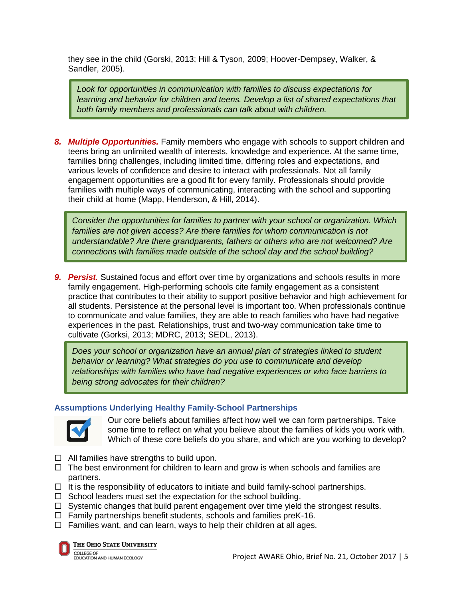they see in the child (Gorski, 2013; Hill & Tyson, 2009; Hoover-Dempsey, Walker, & Sandler, 2005).

*Look for opportunities in communication with families to discuss expectations for learning and behavior for children and teens. Develop a list of shared expectations that both family members and professionals can talk about with children.*

*8. Multiple Opportunities.* Family members who engage with schools to support children and teens bring an unlimited wealth of interests, knowledge and experience. At the same time, families bring challenges, including limited time, differing roles and expectations, and various levels of confidence and desire to interact with professionals. Not all family engagement opportunities are a good fit for every family. Professionals should provide families with multiple ways of communicating, interacting with the school and supporting their child at home (Mapp, Henderson, & Hill, 2014).

*Consider the opportunities for families to partner with your school or organization. Which families are not given access? Are there families for whom communication is not understandable? Are there grandparents, fathers or others who are not welcomed? Are connections with families made outside of the school day and the school building?* 

*9. Persist.* Sustained focus and effort over time by organizations and schools results in more family engagement. High-performing schools cite family engagement as a consistent practice that contributes to their ability to support positive behavior and high achievement for all students. Persistence at the personal level is important too. When professionals continue to communicate and value families, they are able to reach families who have had negative experiences in the past. Relationships, trust and two-way communication take time to cultivate (Gorksi, 2013; MDRC, 2013; SEDL, 2013).

*Does your school or organization have an annual plan of strategies linked to student behavior or learning? What strategies do you use to communicate and develop relationships with families who have had negative experiences or who face barriers to being strong advocates for their children?*

#### **Assumptions Underlying Healthy Family-School Partnerships**



Our core beliefs about families affect how well we can form partnerships. Take some time to reflect on what you believe about the families of kids you work with. Which of these core beliefs do you share, and which are you working to develop?

- $\Box$  All families have strengths to build upon.
- $\Box$  The best environment for children to learn and grow is when schools and families are partners.
- $\Box$  It is the responsibility of educators to initiate and build family-school partnerships.
- $\Box$  School leaders must set the expectation for the school building.
- $\Box$  Systemic changes that build parent engagement over time yield the strongest results.
- $\Box$  Family partnerships benefit students, schools and families preK-16.
- $\Box$  Families want, and can learn, ways to help their children at all ages.



THE OHIO STATE UNIVERSITY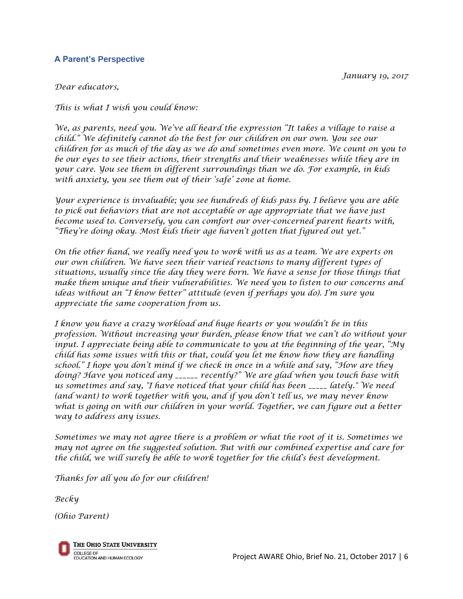#### **A Parent's Perspective**

*January 19, 2017*

#### *Dear educators,*

*This is what I wish you could know:*

*We, as parents, need you. We've all heard the expression "It takes a village to raise a child." We definitely cannot do the best for our children on our own. You see our children for as much of the day as we do and sometimes even more. We count on you to be our eyes to see their actions, their strengths and their weaknesses while they are in your care. You see them in different surroundings than we do. For example, in kids with anxiety, you see them out of their 'safe' zone at home.*

*Your experience is invaluable; you see hundreds of kids pass by. I believe you are able to pick out behaviors that are not acceptable or age appropriate that we have just become used to. Conversely, you can comfort our over-concerned parent hearts with, "They're doing okay. Most kids their age haven't gotten that figured out yet."*

*On the other hand, we really need you to work with us as a team. We are experts on our own children. We have seen their varied reactions to many different types of situations, usually since the day they were born. We have a sense for those things that make them unique and their vulnerabilities. We need you to listen to our concerns and ideas without an "I know better" attitude (even if perhaps you do). I'm sure you appreciate the same cooperation from us.* 

*I know you have a crazy workload and huge hearts or you wouldn't be in this profession. Without increasing your burden, please know that we can't do without your input. I appreciate being able to communicate to you at the beginning of the year, "My child has some issues with this or that, could you let me know how they are handling school." I hope you don't mind if we check in once in a while and say, "How are they doing? Have you noticed any \_\_\_\_\_\_ recently?" We are glad when you touch base with us sometimes and say, "I have noticed that your child has been \_\_\_\_\_ lately." We need (and want) to work together with you, and if you don't tell us, we may never know what is going on with our children in your world. Together, we can figure out a better way to address any issues.*

*Sometimes we may not agree there is a problem or what the root of it is. Sometimes we may not agree on the suggested solution. But with our combined expertise and care for the child, we will surely be able to work together for the child's best development.* 

*Thanks for all you do for our children!*

*Becky* 

*(Ohio Parent)*

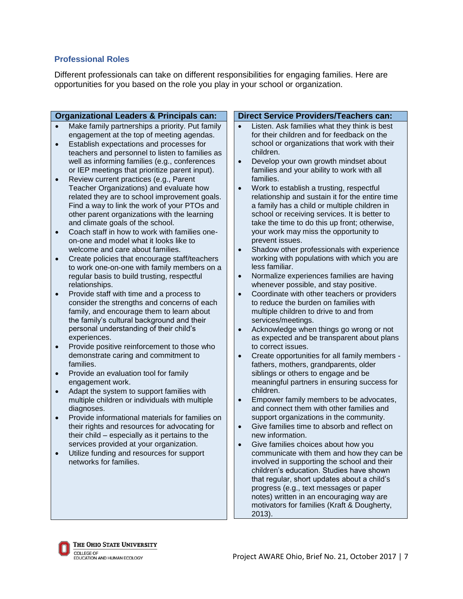#### **Professional Roles**

Different professionals can take on different responsibilities for engaging families. Here are opportunities for you based on the role you play in your school or organization.

| <b>Organizational Leaders &amp; Principals can:</b> |                                                               | <b>Direct Service Providers/Teachers can:</b>              |
|-----------------------------------------------------|---------------------------------------------------------------|------------------------------------------------------------|
|                                                     | Make family partnerships a priority. Put family               | Listen. Ask families what they think is best               |
|                                                     | engagement at the top of meeting agendas.                     | for their children and for feedback on the                 |
| $\bullet$                                           | Establish expectations and processes for                      | school or organizations that work with their               |
|                                                     | teachers and personnel to listen to families as               | children.                                                  |
|                                                     | well as informing families (e.g., conferences                 | Develop your own growth mindset about<br>$\bullet$         |
|                                                     | or IEP meetings that prioritize parent input).                | families and your ability to work with all                 |
| $\bullet$                                           | Review current practices (e.g., Parent                        | families.                                                  |
|                                                     | Teacher Organizations) and evaluate how                       | Work to establish a trusting, respectful<br>$\bullet$      |
|                                                     | related they are to school improvement goals.                 | relationship and sustain it for the entire time            |
|                                                     | Find a way to link the work of your PTOs and                  | a family has a child or multiple children in               |
|                                                     | other parent organizations with the learning                  | school or receiving services. It is better to              |
|                                                     | and climate goals of the school.                              | take the time to do this up front; otherwise,              |
| $\bullet$                                           | Coach staff in how to work with families one-                 | your work may miss the opportunity to                      |
|                                                     | on-one and model what it looks like to                        | prevent issues.                                            |
|                                                     | welcome and care about families.                              | Shadow other professionals with experience<br>$\bullet$    |
| $\bullet$                                           | Create policies that encourage staff/teachers                 | working with populations with which you are                |
|                                                     | to work one-on-one with family members on a                   | less familiar.                                             |
|                                                     | regular basis to build trusting, respectful                   | Normalize experiences families are having<br>$\bullet$     |
|                                                     | relationships.                                                | whenever possible, and stay positive.                      |
| $\bullet$                                           | Provide staff with time and a process to                      | Coordinate with other teachers or providers<br>$\bullet$   |
|                                                     | consider the strengths and concerns of each                   | to reduce the burden on families with                      |
|                                                     | family, and encourage them to learn about                     | multiple children to drive to and from                     |
|                                                     | the family's cultural background and their                    | services/meetings.                                         |
|                                                     | personal understanding of their child's                       | Acknowledge when things go wrong or not<br>$\bullet$       |
|                                                     | experiences.                                                  | as expected and be transparent about plans                 |
| $\bullet$                                           | Provide positive reinforcement to those who                   | to correct issues.                                         |
|                                                     | demonstrate caring and commitment to                          | Create opportunities for all family members -<br>$\bullet$ |
|                                                     | families.                                                     | fathers, mothers, grandparents, older                      |
| $\bullet$                                           | Provide an evaluation tool for family                         | siblings or others to engage and be                        |
|                                                     | engagement work.<br>Adapt the system to support families with | meaningful partners in ensuring success for<br>children.   |
| $\bullet$                                           | multiple children or individuals with multiple                | Empower family members to be advocates,<br>$\bullet$       |
|                                                     | diagnoses.                                                    | and connect them with other families and                   |
| $\bullet$                                           | Provide informational materials for families on               | support organizations in the community.                    |
|                                                     | their rights and resources for advocating for                 | Give families time to absorb and reflect on<br>$\bullet$   |
|                                                     | their child - especially as it pertains to the                | new information.                                           |
|                                                     | services provided at your organization.                       | Give families choices about how you                        |
|                                                     | Utilize funding and resources for support                     | communicate with them and how they can be                  |
|                                                     | networks for families.                                        | involved in supporting the school and their                |
|                                                     |                                                               | children's education. Studies have shown                   |
|                                                     |                                                               | that regular, short updates about a child's                |
|                                                     |                                                               | progress (e.g., text messages or paper                     |
|                                                     |                                                               | notes) written in an encouraging way are                   |
|                                                     |                                                               | motivators for families (Kraft & Dougherty,                |
|                                                     |                                                               | $2013$ ).                                                  |



L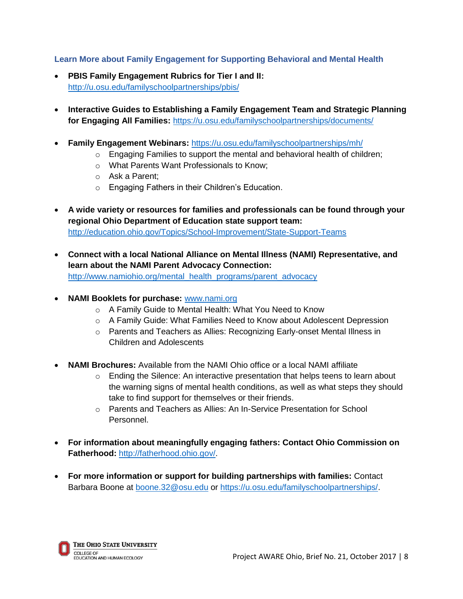#### **Learn More about Family Engagement for Supporting Behavioral and Mental Health**

- **PBIS Family Engagement Rubrics for Tier I and II:**  <http://u.osu.edu/familyschoolpartnerships/pbis/>
- **Interactive Guides to Establishing a Family Engagement Team and Strategic Planning for Engaging All Families:** <https://u.osu.edu/familyschoolpartnerships/documents/>
- **Family Engagement Webinars:** <https://u.osu.edu/familyschoolpartnerships/mh/>
	- $\circ$  Engaging Families to support the mental and behavioral health of children;
	- o What Parents Want Professionals to Know;
	- o Ask a Parent;
	- o Engaging Fathers in their Children's Education.
- **A wide variety or resources for families and professionals can be found through your regional Ohio Department of Education state support team:** <http://education.ohio.gov/Topics/School-Improvement/State-Support-Teams>
- **Connect with a local National Alliance on Mental Illness (NAMI) Representative, and learn about the NAMI Parent Advocacy Connection:** [http://www.namiohio.org/mental\\_health\\_programs/parent\\_advocacy](http://www.namiohio.org/mental_health_programs/parent_advocacy)
- **NAMI Booklets for purchase:** [www.nami.org](http://www.nami.org/)
	- o A Family Guide to Mental Health: What You Need to Know
	- o A Family Guide: What Families Need to Know about Adolescent Depression
	- o Parents and Teachers as Allies: Recognizing Early-onset Mental Illness in Children and Adolescents
- **NAMI Brochures:** Available from the NAMI Ohio office or a local NAMI affiliate
	- $\circ$  Ending the Silence: An interactive presentation that helps teens to learn about the warning signs of mental health conditions, as well as what steps they should take to find support for themselves or their friends.
	- o Parents and Teachers as Allies: An In-Service Presentation for School Personnel.
- **For information about meaningfully engaging fathers: Contact Ohio Commission on Fatherhood:** [http://fatherhood.ohio.gov/.](http://fatherhood.ohio.gov/)
- **For more information or support for building partnerships with families:** Contact Barbara Boone at [boone.32@osu.edu](mailto:boone.32@osu.edu) or [https://u.osu.edu/familyschoolpartnerships/.](https://u.osu.edu/familyschoolpartnerships/)